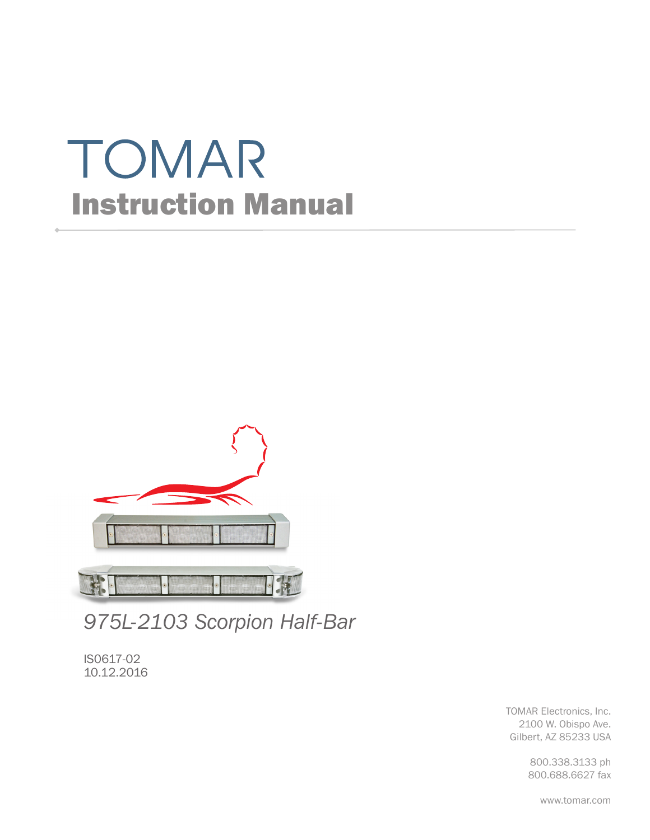# TOMAR Instruction Manual



*975L-2103 Scorpion Half-Bar*

IS0617-02 10.12.2016

> TOMAR Electronics, Inc. 2100 W. Obispo Ave. Gilbert, AZ 85233 USA

> > 800.338.3133 ph 800.688.6627 fax

> > > www.tomar.com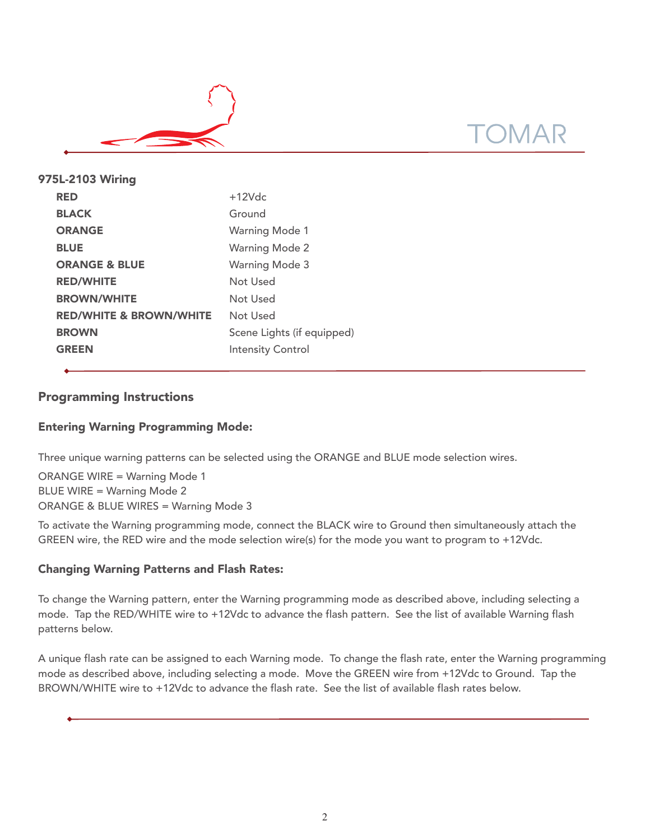

| 975L-2103 Wiring                   |                            |
|------------------------------------|----------------------------|
| <b>RED</b>                         | $+12$ Vdc                  |
| <b>BLACK</b>                       | Ground                     |
| <b>ORANGE</b>                      | <b>Warning Mode 1</b>      |
| <b>BLUE</b>                        | <b>Warning Mode 2</b>      |
| <b>ORANGE &amp; BLUE</b>           | <b>Warning Mode 3</b>      |
| <b>RED/WHITE</b>                   | Not Used                   |
| <b>BROWN/WHITE</b>                 | Not Used                   |
| <b>RED/WHITE &amp; BROWN/WHITE</b> | Not Used                   |
| <b>BROWN</b>                       | Scene Lights (if equipped) |
| <b>GREEN</b>                       | <b>Intensity Control</b>   |
|                                    |                            |

# Programming Instructions

## Entering Warning Programming Mode:

Three unique warning patterns can be selected using the ORANGE and BLUE mode selection wires.

ORANGE WIRE = Warning Mode 1 BLUE WIRE = Warning Mode 2 ORANGE & BLUE WIRES = Warning Mode 3

To activate the Warning programming mode, connect the BLACK wire to Ground then simultaneously attach the GREEN wire, the RED wire and the mode selection wire(s) for the mode you want to program to +12Vdc.

### Changing Warning Patterns and Flash Rates:

To change the Warning pattern, enter the Warning programming mode as described above, including selecting a mode. Tap the RED/WHITE wire to +12Vdc to advance the flash pattern. See the list of available Warning flash patterns below.

A unique flash rate can be assigned to each Warning mode. To change the flash rate, enter the Warning programming mode as described above, including selecting a mode. Move the GREEN wire from +12Vdc to Ground. Tap the BROWN/WHITE wire to +12Vdc to advance the flash rate. See the list of available flash rates below.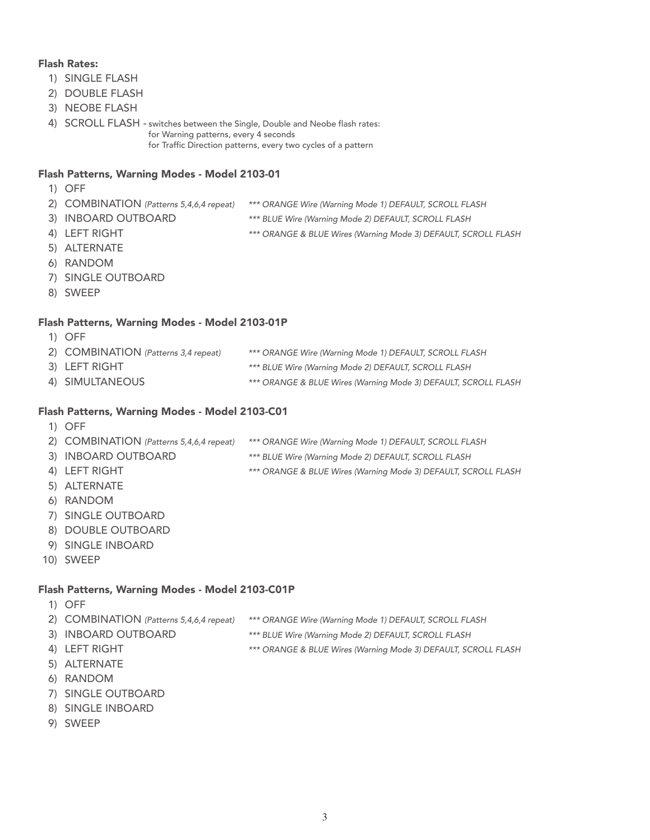#### Flash Rates:

- 1) SINGLE FLASH
- 2) DOUBLE FLASH
- 3) NEOBE FLASH
- 4) SCROLL FLASH switches between the Single, Double and Neobe flash rates: for Warning patterns, every 4 seconds for Traffic Direction patterns, every two cycles of a pattern

#### Flash Patterns, Warning Modes - Model 2103-01

- 1) OFF
- 2) COMBINATION (Patterns 5,4,6,4 repeat) \*\*\* ORANGE Wire (Warning Mode 1) DEFAULT, SCROLL FLASH
- 
- 3) INBOARD OUTBOARD \*\*\* BLUE Wire (Warning Mode 2) DEFAULT, SCROLL FLASH
- 
- 4) LEFT RIGHT **EXECUTE:** \*\*\* ORANGE & BLUE Wires (Warning Mode 3) DEFAULT, SCROLL FLASH
- 5) ALTERNATE
- 6) RANDOM
- 7) SINGLE OUTBOARD
- 8) SWEEP

#### Flash Patterns, Warning Modes - Model 2103-01P

1) OFF 2) COMBINATION (Patterns 3,4 repeat) \*\*\* ORANGE Wire (Warning Mode 1) DEFAULT, SCROLL FLASH 3) LEFT RIGHT **All and All and All and All and All and All and All and All and All and All and All and All and A** 4) SIMULTANEOUS \*\*\* ORANGE & BLUE Wires (Warning Mode 3) DEFAULT, SCROLL FLASH

#### Flash Patterns, Warning Modes - Model 2103-C01

1) OFF

| 2) COMBINATION (Patterns 5,4,6,4 repeat) | *** ORANGE Wire (Warning Mode 1) DEFAULT, SCROLL FLASH         |
|------------------------------------------|----------------------------------------------------------------|
| 3) INBOARD OUTBOARD                      | *** BLUE Wire (Warning Mode 2) DEFAULT, SCROLL FLASH           |
| 4) LEFT RIGHT                            | *** ORANGE & BLUE Wires (Warning Mode 3) DEFAULT, SCROLL FLASH |
| 5) ALTERNATE                             |                                                                |

- 6) RANDOM
- 7) SINGLE OUTBOARD
- 8) DOUBLE OUTBOARD
- 9) SINGLE INBOARD
- 10) SWEEP

#### Flash Patterns, Warning Modes - Model 2103-C01P

- 1) OFF
- 2) COMBINATION (Patterns 5,4,6,4 repeat) \*\*\* ORANGE Wire (Warning Mode 1) DEFAULT, SCROLL FLASH
- 3) INBOARD OUTBOARD \*\*\* BLUE Wire (Warning Mode 2) DEFAULT, SCROLL FLASH
- 4) LEFT RIGHT **EXECUTE:** \*\*\* ORANGE & BLUE Wires (Warning Mode 3) DEFAULT, SCROLL FLASH
- 5) ALTERNATE
- 6) RANDOM
- 
- 7) SINGLE OUTBOARD
- 8) SINGLE INBOARD
- 9) SWEEP